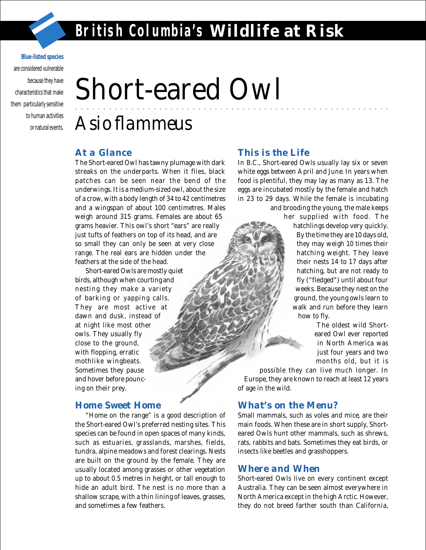aaaaaaaaaaaaaaaaaaaa aaaaaaaaaaaaaaaaaaaaaaaaaaaaaaaaaaaaa

#### **Blue-listed species**

are considered vulnerable because they have characteristics that make them particularly sensitive to human activities or natural events.

# Short-eared Owl

# *Asio flammeus*

#### *At a Glance*

The Short-eared Owl has tawny plumage with dark streaks on the underparts. When it flies, black patches can be seen near the bend of the underwings. It is a medium-sized owl, about the size of a crow, with a body length of 34 to 42 centimetres and a wingspan of about 100 centimetres. Males weigh around 315 grams. Females are about 65 grams heavier. This owl's short "ears" are really just tufts of feathers on top of its head, and are so small they can only be seen at very close range. The real ears are hidden under the feathers at the side of the head.

Short-eared Owls are mostly quiet birds, although when courting and nesting they make a variety of barking or yapping calls. They are most active at dawn and dusk, instead of at night like most other owls. They usually fly close to the ground, with flopping, erratic mothlike wingbeats. Sometimes they pause and hover before pouncing on their prey.

#### *Home Sweet Home*

"Home on the range" is a good description of the Short-eared Owl's preferred nesting sites. This species can be found in open spaces of many kinds, such as estuaries, grasslands, marshes, fields, tundra, alpine meadows and forest clearings. Nests are built on the ground by the female. They are usually located among grasses or other vegetation up to about 0.5 metres in height, or tall enough to hide an adult bird. The nest is no more than a shallow scrape, with a thin lining of leaves, grasses, and sometimes a few feathers.

#### *This is the Life*

In B.C., Short-eared Owls usually lay six or seven white eggs between April and June. In years when food is plentiful, they may lay as many as 13. The eggs are incubated mostly by the female and hatch in 23 to 29 days. While the female is incubating and brooding the young, the male keeps

her supplied with food. The

hatchlings develop very quickly. By the time they are 10 days old, they may weigh 10 times their hatching weight. They leave their nests 14 to 17 days after hatching, but are not ready to fly ("fledged") until about four weeks. Because they nest on the ground, the young owls learn to walk and run before they learn how to fly.

> The oldest wild Shorteared Owl ever reported in North America was just four years and two months old, but it is

possible they can live much longer. In Europe, they are known to reach at least 12 years of age in the wild.

### *What's on the Menu?*

Small mammals, such as voles and mice, are their main foods. When these are in short supply, Shorteared Owls hunt other mammals, such as shrews, rats, rabbits and bats. Sometimes they eat birds, or insects like beetles and grasshoppers.

#### *Where and When*

Short-eared Owls live on every continent except Australia. They can be seen almost everywhere in North America except in the high Arctic. However, they do not breed farther south than California,